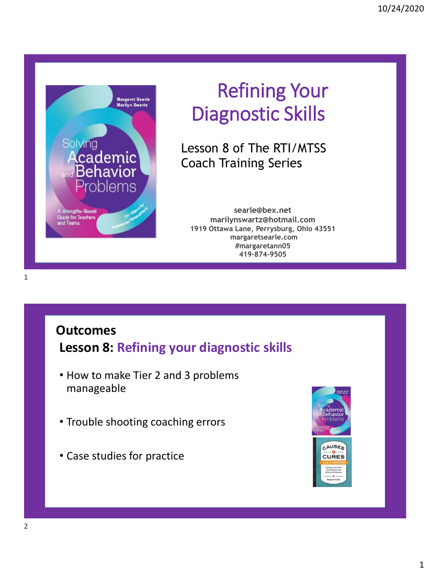

# Refining Your Diagnostic Skills

Lesson 8 of The RTI/MTSS Coach Training Series

**searle@bex.net marilynswartz@hotmail.com 1919 Ottawa Lane, Perrysburg, Ohio 43551 margaretsearle.com #margaretann05 419-874-9505**

### **Outcomes**

**Lesson 8: Refining your diagnostic skills**

- How to make Tier 2 and 3 problems manageable
- Trouble shooting coaching errors
- Case studies for practice

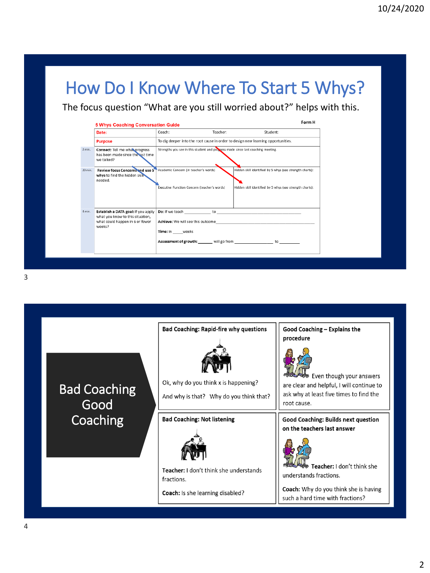# How Do I Know Where To Start 5 Whys?

The focus question "What are you still worried about?" helps with this.

|         | Date:                                                                                                                | Coach:                                                                           | Teacher: | Student:                                                                                                                                                                                                                                                                       |
|---------|----------------------------------------------------------------------------------------------------------------------|----------------------------------------------------------------------------------|----------|--------------------------------------------------------------------------------------------------------------------------------------------------------------------------------------------------------------------------------------------------------------------------------|
|         | <b>Purpose</b>                                                                                                       |                                                                                  |          | To dig deeper into the root cause in order to design new learning opportunities.                                                                                                                                                                                               |
| 2 min.  | Connect: Tell me what progress<br>has been made since the last time<br>we talked?                                    | Strengths you see in this student and progress made since last coaching meeting. |          |                                                                                                                                                                                                                                                                                |
| 20 min. | <b>Review focus Concerns and use 5</b><br>whys to find the hidden skill<br>needed.                                   | Academic Concern (in teacher's words)                                            |          | Hidden skill identified by 5 whys (see strength charts):                                                                                                                                                                                                                       |
|         |                                                                                                                      | Executive Function Concern (teacher's words)                                     |          | Hidden skill identified by 5 whys (see strength charts):                                                                                                                                                                                                                       |
| 4 min.  | Establish a DATA goal: If you apply<br>what you know to this situation,<br>what could happen in 6 or fewer<br>weeks? | Time: In weeks                                                                   |          | <b>Do:</b> If we teach to to to the state of the state of the state of the state of the state of the state of the state of the state of the state of the state of the state of the state of the state of the state of the state of<br><b>Achieve:</b> We will see this outcome |
|         |                                                                                                                      |                                                                                  |          | Assessment of growth: _______ will go from do to to                                                                                                                                                                                                                            |

3

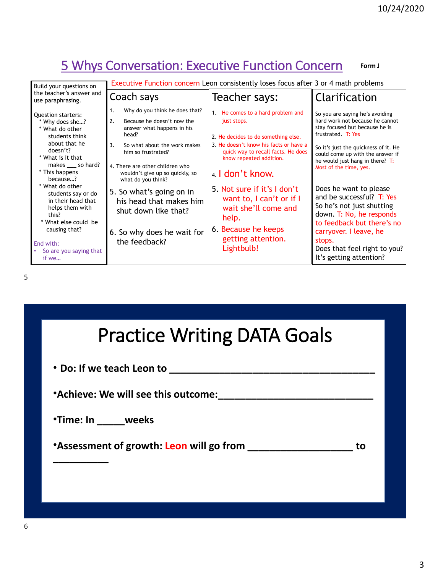#### 5 Whys Conversation: Executive Function Concern **Form J**

| Build your questions on                                                                                                                                                             | Executive Function concern Leon consistently loses focus after 3 or 4 math problems                                                                                                                                                                                     |                                                                                                                                                                                                                        |                                                                                                                                                                                                                                                                        |  |
|-------------------------------------------------------------------------------------------------------------------------------------------------------------------------------------|-------------------------------------------------------------------------------------------------------------------------------------------------------------------------------------------------------------------------------------------------------------------------|------------------------------------------------------------------------------------------------------------------------------------------------------------------------------------------------------------------------|------------------------------------------------------------------------------------------------------------------------------------------------------------------------------------------------------------------------------------------------------------------------|--|
| the teacher's answer and<br>use paraphrasing.                                                                                                                                       | Coach says                                                                                                                                                                                                                                                              | Teacher says:                                                                                                                                                                                                          | Clarification                                                                                                                                                                                                                                                          |  |
| <b>Ouestion starters:</b><br>* Why does she?<br>* What do other<br>students think<br>about that he<br>doesn't?<br>* What is it that<br>makes so hard?<br>* This happens<br>because? | Why do you think he does that?<br>1.<br>2.<br>Because he doesn't now the<br>answer what happens in his<br>head?<br>3.<br>So what about the work makes<br>him so frustrated?<br>4. There are other children who<br>wouldn't give up so quickly, so<br>what do you think? | 1. He comes to a hard problem and<br>just stops.<br>2. He decides to do something else.<br>3. He doesn't know his facts or have a<br>quick way to recall facts. He does<br>know repeated addition.<br>4. I don't know. | So you are saying he's avoiding<br>hard work not because he cannot<br>stay focused but because he is<br>frustrated. T: Yes<br>So it's just the quickness of it. He<br>could come up with the answer if<br>he would just hang in there? $T$ :<br>Most of the time, yes. |  |
| * What do other<br>students say or do<br>in their head that<br>helps them with<br>this?<br>* What else could be<br>causing that?<br>End with:<br>So are you saying that<br>if we    | 5. So what's going on in<br>his head that makes him<br>shut down like that?<br>6. So why does he wait for<br>the feedback?                                                                                                                                              | 5. Not sure if it's I don't<br>want to, I can't or if I<br>wait she'll come and<br>help.<br>6. Because he keeps<br>getting attention.<br>Lightbulb!                                                                    | Does he want to please<br>and be successful? $T: Yes$<br>So he's not just shutting<br>down. T: No, he responds<br>to feedback but there's no<br>carryover. I leave, he<br>stops.<br>Does that feel right to you?<br>It's getting attention?                            |  |

5

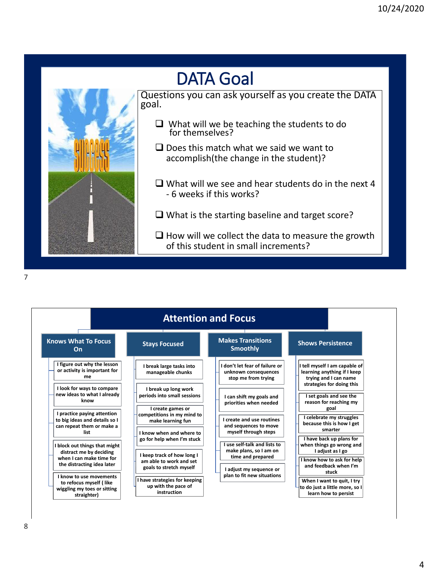# DATA Goal

Questions you can ask yourself as you create the DATA goal.

- ❑ What will we be teaching the students to do for themselves?
- ❑ Does this match what we said we want to accomplish(the change in the student)?
- ❑ What will we see and hear students do in the next 4 - 6 weeks if this works?
- ❑ What is the starting baseline and target score?
- ❑ How will we collect the data to measure the growth of this student in small increments?



| <b>Attention and Focus</b>                                                                        |                                                                             |                                                                               |                                                                                        |
|---------------------------------------------------------------------------------------------------|-----------------------------------------------------------------------------|-------------------------------------------------------------------------------|----------------------------------------------------------------------------------------|
| <b>Knows What To Focus</b><br>On                                                                  | <b>Stays Focused</b>                                                        | <b>Makes Transitions</b><br><b>Smoothly</b>                                   | <b>Shows Persistence</b>                                                               |
| I figure out why the lesson<br>or activity is important for<br>me                                 | I break large tasks into<br>manageable chunks                               | I don't let fear of failure or<br>unknown consequences<br>stop me from trying | I tell myself I am capable of<br>learning anything if I keep<br>trying and I can name  |
| I look for ways to compare<br>new ideas to what I already<br>know                                 | I break up long work<br>periods into small sessions<br>I create games or    | I can shift my goals and<br>priorities when needed                            | strategies for doing this<br>I set goals and see the<br>reason for reaching my<br>goal |
| I practice paying attention<br>to big ideas and details so I<br>can repeat them or make a<br>list | competitions in my mind to<br>make learning fun<br>I know when and where to | I create and use routines<br>and sequences to move<br>myself through steps    | celebrate my struggles<br>because this is how I get<br>smarter                         |
| I block out things that might<br>distract me by deciding                                          | go for help when I'm stuck<br>I keep track of how long I                    | I use self-talk and lists to<br>make plans, so I am on                        | I have back up plans for<br>when things go wrong and<br>I adjust as I go               |
| when I can make time for<br>the distracting idea later                                            | am able to work and set<br>goals to stretch myself                          | time and prepared<br>I adjust my sequence or                                  | I know how to ask for help<br>and feedback when I'm<br>stuck                           |
| I know to use movements<br>to refocus myself (like<br>wiggling my toes or sitting<br>straighter)  | I have strategies for keeping<br>up with the pace of<br>instruction         | plan to fit new situations                                                    | When I want to quit, I try<br>to do just a little more, so I<br>learn how to persist   |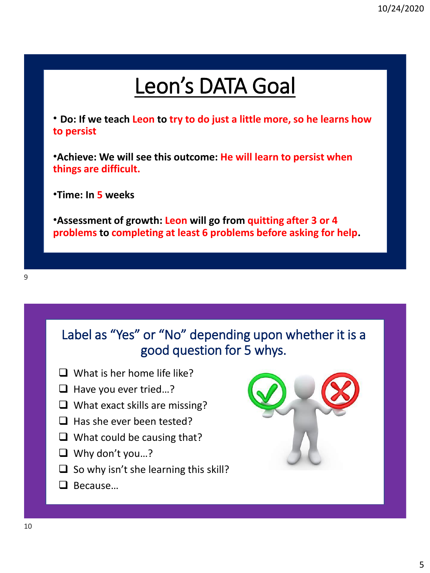# Leon's DATA Goal

• **Do: If we teach Leon to try to do just a little more, so he learns how to persist**

•**Achieve: We will see this outcome: He will learn to persist when things are difficult.**

•**Time: In 5 weeks**

•**Assessment of growth: Leon will go from quitting after 3 or 4 problems to completing at least 6 problems before asking for help.**

### Label as "Yes" or "No" depending upon whether it is a good question for 5 whys.

- $\Box$  What is her home life like?
- ❑ Have you ever tried…?
- ❑ What exact skills are missing?
- ❑ Has she ever been tested?
- ❑ What could be causing that?
- ❑ Why don't you…?
- $\Box$  So why isn't she learning this skill?
- ❑ Because…

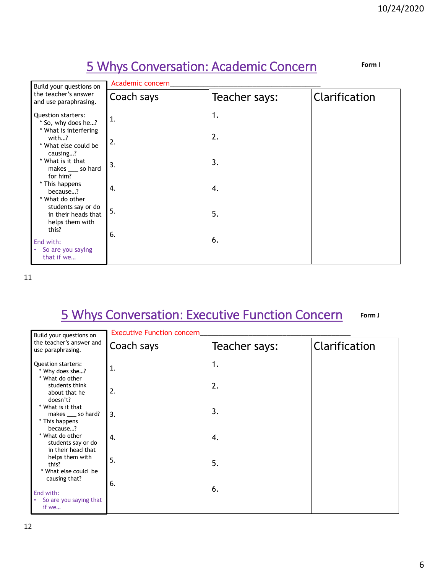### 5 Whys Conversation: Academic Concern

**Form I**

| Build your questions on                                            | Academic concern |               |               |  |
|--------------------------------------------------------------------|------------------|---------------|---------------|--|
| the teacher's answer<br>and use paraphrasing.                      | Coach says       | Teacher says: | Clarification |  |
| <b>Question starters:</b><br>* So, why does he?                    | $\mathbf{1}$ .   | 1.            |               |  |
| * What is interfering<br>with?<br>* What else could be<br>causing? | 2.               | 2.            |               |  |
| * What is it that<br>makes ____ so hard<br>for him?                | 3.               | 3.            |               |  |
| * This happens<br>because?<br>* What do other                      | 4.               | 4.            |               |  |
| students say or do<br>in their heads that<br>helps them with       | 5.               | 5.            |               |  |
| this?<br>End with:<br>So are you saying<br>$\bullet$<br>that if we | 6.               | 6.            |               |  |

11

#### 5 Whys Conversation: Executive Function Concern **Form J**

| Build your questions on                                                 | <b>Executive Function concern</b> |               |               |  |
|-------------------------------------------------------------------------|-----------------------------------|---------------|---------------|--|
| the teacher's answer and<br>use paraphrasing.                           | Coach says                        | Teacher says: | Clarification |  |
| <b>Question starters:</b><br>* Why does she?                            | $\mathbf{1}$ .                    | 1.            |               |  |
| * What do other<br>students think<br>about that he<br>doesn't?          | 2.                                | 2.            |               |  |
| * What is it that<br>makes ____ so hard?<br>* This happens              | 3.                                | 3.            |               |  |
| because?<br>* What do other<br>students say or do<br>in their head that | 4.                                | 4.            |               |  |
| helps them with<br>this?<br>* What else could be                        | 5.                                | 5.            |               |  |
| causing that?<br>End with:<br>So are you saying that<br>if we           | 6.                                | 6.            |               |  |